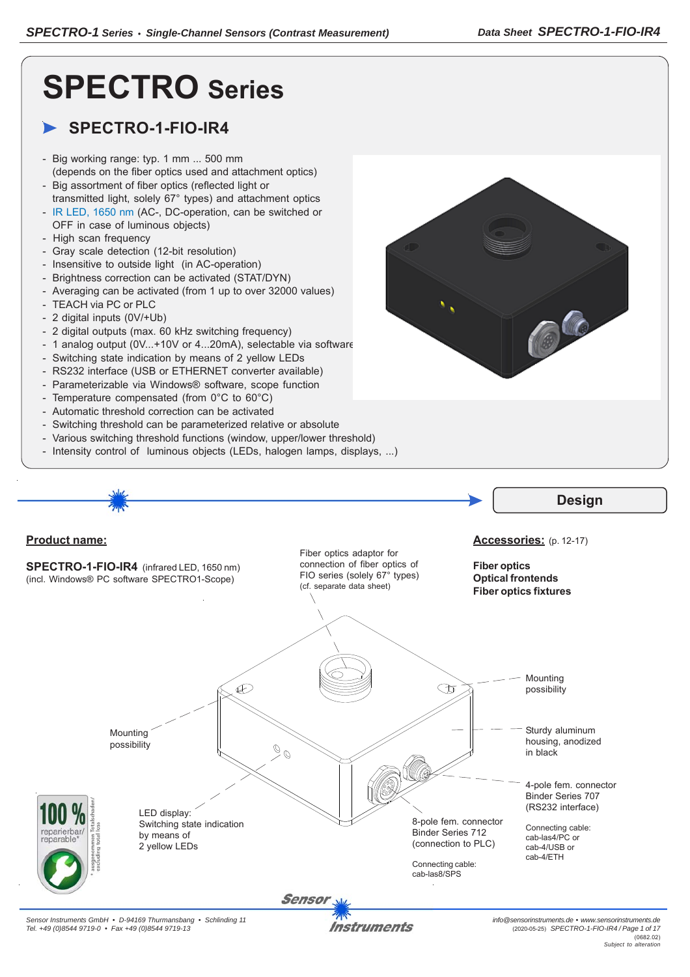# **SPECTRO Series**

# **SPECTRO-1-FIO-IR4**

- Big working range: typ. 1 mm ... 500 mm (depends on the fiber optics used and attachment optics)
- Big assortment of fiber optics (reflected light or
- transmitted light, solely 67° types) and attachment optics - IR LED, 1650 nm (AC-, DC-operation, can be switched or OFF in case of luminous objects)
- High scan frequency
- Gray scale detection (12-bit resolution)
- Insensitive to outside light (in AC-operation)
- Brightness correction can be activated (STAT/DYN)
- Averaging can be activated (from 1 up to over 32000 values)
- TEACH via PC or PLC
- 2 digital inputs (0V/+Ub)
- 2 digital outputs (max. 60 kHz switching frequency)
- 1 analog output (0V...+10V or 4...20mA), selectable via software
- Switching state indication by means of 2 yellow LEDs
- RS232 interface (USB or ETHERNET converter available)
- Parameterizable via Windows® software, scope function
- Temperature compensated (from 0°C to 60°C)
- Automatic threshold correction can be activated
- Switching threshold can be parameterized relative or absolute
- Various switching threshold functions (window, upper/lower threshold)
- Intensity control of luminous objects (LEDs, halogen lamps, displays, ...)

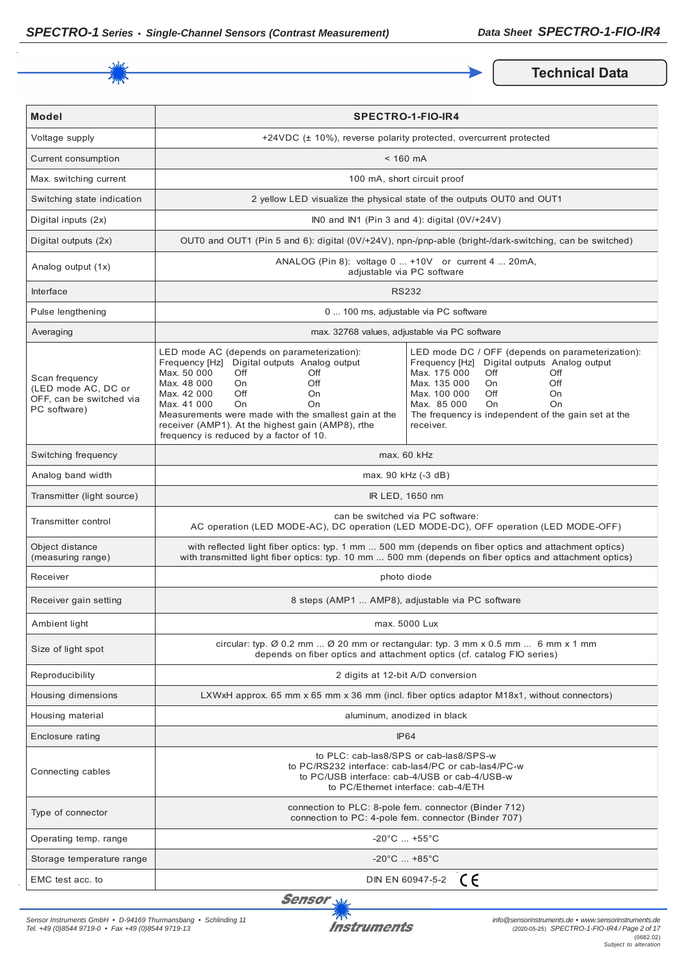

**Technical Data** 

| <b>Model</b>                                                                      | <b>SPECTRO-1-FIO-IR4</b>                                                                                                                                                                                                                                                                                                                                                  |                                                                                                                                                                                                                                                                                                    |
|-----------------------------------------------------------------------------------|---------------------------------------------------------------------------------------------------------------------------------------------------------------------------------------------------------------------------------------------------------------------------------------------------------------------------------------------------------------------------|----------------------------------------------------------------------------------------------------------------------------------------------------------------------------------------------------------------------------------------------------------------------------------------------------|
| Voltage supply                                                                    |                                                                                                                                                                                                                                                                                                                                                                           | +24VDC (± 10%), reverse polarity protected, overcurrent protected                                                                                                                                                                                                                                  |
| Current consumption                                                               | $< 160$ mA                                                                                                                                                                                                                                                                                                                                                                |                                                                                                                                                                                                                                                                                                    |
| Max. switching current                                                            |                                                                                                                                                                                                                                                                                                                                                                           | 100 mA, short circuit proof                                                                                                                                                                                                                                                                        |
| Switching state indication                                                        |                                                                                                                                                                                                                                                                                                                                                                           | 2 yellow LED visualize the physical state of the outputs OUT0 and OUT1                                                                                                                                                                                                                             |
| Digital inputs (2x)                                                               |                                                                                                                                                                                                                                                                                                                                                                           | INO and IN1 (Pin 3 and 4): digital $(0 \vee 1 + 24 \vee)$                                                                                                                                                                                                                                          |
| Digital outputs (2x)                                                              |                                                                                                                                                                                                                                                                                                                                                                           | OUT0 and OUT1 (Pin 5 and 6): digital (0V/+24V), npn-/pnp-able (bright-/dark-switching, can be switched)                                                                                                                                                                                            |
| Analog output (1x)                                                                |                                                                                                                                                                                                                                                                                                                                                                           | ANALOG (Pin 8): voltage 0  +10V or current 4  20mA,<br>adjustable via PC software                                                                                                                                                                                                                  |
| Interface                                                                         |                                                                                                                                                                                                                                                                                                                                                                           | <b>RS232</b>                                                                                                                                                                                                                                                                                       |
| Pulse lengthening                                                                 |                                                                                                                                                                                                                                                                                                                                                                           | 0  100 ms, adjustable via PC software                                                                                                                                                                                                                                                              |
| Averaging                                                                         |                                                                                                                                                                                                                                                                                                                                                                           | max. 32768 values, adjustable via PC software                                                                                                                                                                                                                                                      |
| Scan frequency<br>(LED mode AC, DC or<br>OFF, can be switched via<br>PC software) | LED mode AC (depends on parameterization):<br>Frequency [Hz] Digital outputs Analog output<br>Max. 50 000<br>Off<br>Off<br>Max. 48 000<br>Off<br>On<br>Max. 42 000<br>Off<br>On<br>Max. 41 000<br><b>On</b><br>On<br>Measurements were made with the smallest gain at the<br>receiver (AMP1). At the highest gain (AMP8), rthe<br>frequency is reduced by a factor of 10. | LED mode DC / OFF (depends on parameterization):<br>Digital outputs Analog output<br>Frequency [Hz]<br>Max. 175 000<br>Off<br>Off<br>Max. 135 000<br>Off<br>On.<br>Max. 100 000<br>Off<br>On<br>Max. 85 000<br>On<br><b>On</b><br>The frequency is independent of the gain set at the<br>receiver. |
| Switching frequency                                                               | max. 60 kHz                                                                                                                                                                                                                                                                                                                                                               |                                                                                                                                                                                                                                                                                                    |
| Analog band width                                                                 | max. 90 kHz (-3 dB)                                                                                                                                                                                                                                                                                                                                                       |                                                                                                                                                                                                                                                                                                    |
| Transmitter (light source)                                                        | IR LED, 1650 nm                                                                                                                                                                                                                                                                                                                                                           |                                                                                                                                                                                                                                                                                                    |
| Transmitter control                                                               | can be switched via PC software:<br>AC operation (LED MODE-AC), DC operation (LED MODE-DC), OFF operation (LED MODE-OFF)                                                                                                                                                                                                                                                  |                                                                                                                                                                                                                                                                                                    |
| Object distance<br>(measuring range)                                              | with reflected light fiber optics: typ. 1 mm  500 mm (depends on fiber optics and attachment optics)<br>with transmitted light fiber optics: typ. 10 mm  500 mm (depends on fiber optics and attachment optics)                                                                                                                                                           |                                                                                                                                                                                                                                                                                                    |
| Receiver                                                                          | photo diode                                                                                                                                                                                                                                                                                                                                                               |                                                                                                                                                                                                                                                                                                    |
| Receiver gain setting                                                             | 8 steps (AMP1  AMP8), adjustable via PC software                                                                                                                                                                                                                                                                                                                          |                                                                                                                                                                                                                                                                                                    |
| Ambient light                                                                     | max. 5000 Lux                                                                                                                                                                                                                                                                                                                                                             |                                                                                                                                                                                                                                                                                                    |
| Size of light spot                                                                | circular: typ. $\emptyset$ 0.2 mm $\emptyset$ 20 mm or rectangular: typ. 3 mm x 0.5 mm  6 mm x 1 mm<br>depends on fiber optics and attachment optics (cf. catalog FIO series)                                                                                                                                                                                             |                                                                                                                                                                                                                                                                                                    |
| Reproducibility                                                                   | 2 digits at 12-bit A/D conversion                                                                                                                                                                                                                                                                                                                                         |                                                                                                                                                                                                                                                                                                    |
| Housing dimensions                                                                | LXWxH approx. 65 mm x 65 mm x 36 mm (incl. fiber optics adaptor M18x1, without connectors)                                                                                                                                                                                                                                                                                |                                                                                                                                                                                                                                                                                                    |
| Housing material                                                                  | aluminum, anodized in black                                                                                                                                                                                                                                                                                                                                               |                                                                                                                                                                                                                                                                                                    |
| Enclosure rating                                                                  | <b>IP64</b>                                                                                                                                                                                                                                                                                                                                                               |                                                                                                                                                                                                                                                                                                    |
| Connecting cables                                                                 | to PLC: cab-las8/SPS or cab-las8/SPS-w<br>to PC/RS232 interface: cab-las4/PC or cab-las4/PC-w<br>to PC/USB interface: cab-4/USB or cab-4/USB-w<br>to PC/Ethernet interface: cab-4/ETH                                                                                                                                                                                     |                                                                                                                                                                                                                                                                                                    |
| Type of connector                                                                 | connection to PLC: 8-pole fem. connector (Binder 712)<br>connection to PC: 4-pole fem. connector (Binder 707)                                                                                                                                                                                                                                                             |                                                                                                                                                                                                                                                                                                    |
| Operating temp. range                                                             | $-20^{\circ}$ C  +55 $^{\circ}$ C                                                                                                                                                                                                                                                                                                                                         |                                                                                                                                                                                                                                                                                                    |
| Storage temperature range                                                         | $-20^{\circ}$ C  +85 $^{\circ}$ C                                                                                                                                                                                                                                                                                                                                         |                                                                                                                                                                                                                                                                                                    |
| EMC test acc. to                                                                  | CE<br>DIN EN 60947-5-2                                                                                                                                                                                                                                                                                                                                                    |                                                                                                                                                                                                                                                                                                    |

Sensor<sub>N</sub>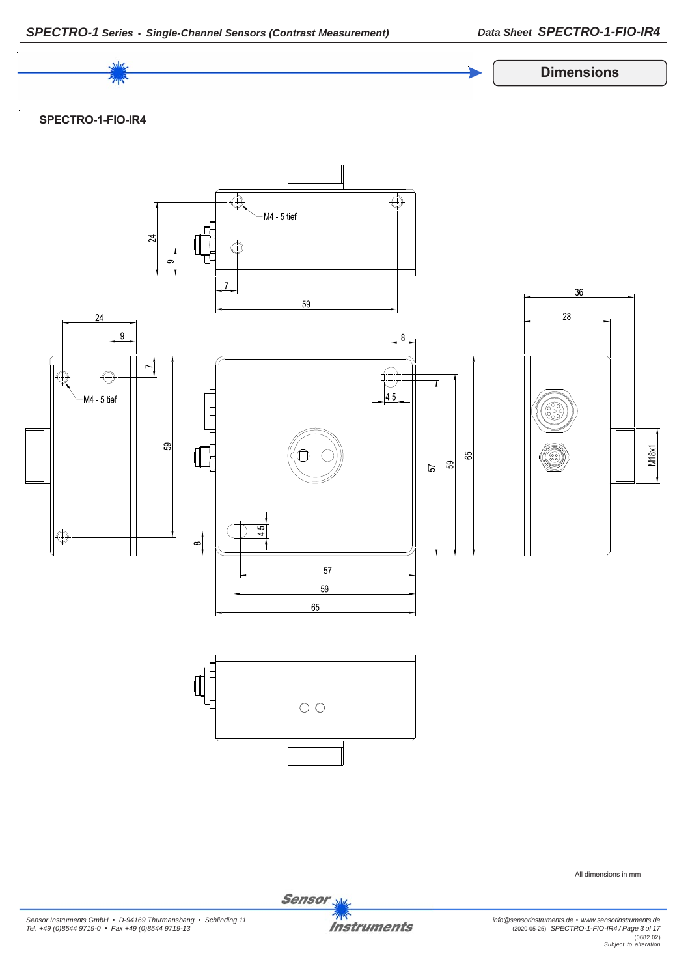

Sensor<sub>s</sub>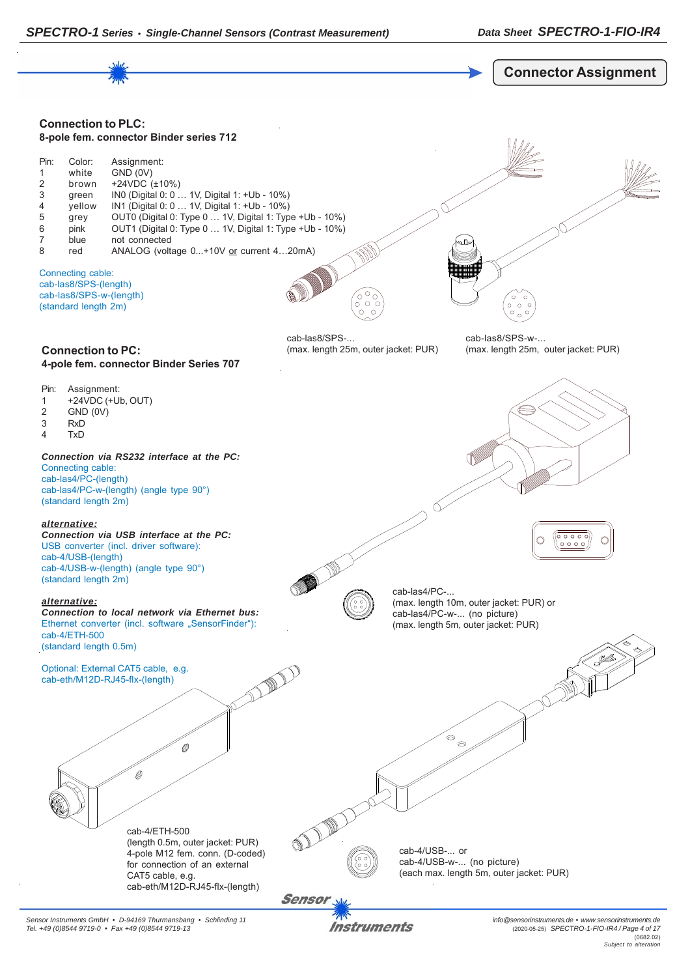

Instruments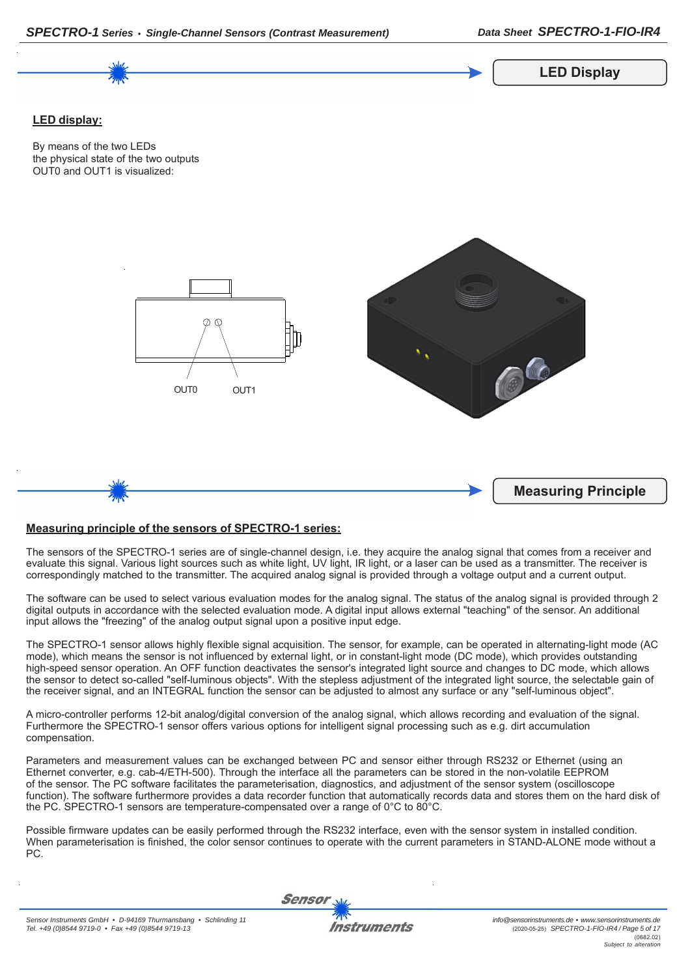

## **Measuring principle of the sensors of SPECTRO-1 series:**

*SPECTRO-1 Series • Single-Channel Sensors (Contrast Measurement)*

The sensors of the SPECTRO-1 series are of single-channel design, i.e. they acquire the analog signal that comes from a receiver and evaluate this signal. Various light sources such as white light, UV light, IR light, or a laser can be used as a transmitter. The receiver is correspondingly matched to the transmitter. The acquired analog signal is provided through a voltage output and a current output.

The software can be used to select various evaluation modes for the analog signal. The status of the analog signal is provided through 2 digital outputs in accordance with the selected evaluation mode. A digital input allows external "teaching" of the sensor. An additional input allows the "freezing" of the analog output signal upon a positive input edge.

The SPECTRO-1 sensor allows highly flexible signal acquisition. The sensor, for example, can be operated in alternating-light mode (AC mode), which means the sensor is not influenced by external light, or in constant-light mode (DC mode), which provides outstanding high-speed sensor operation. An OFF function deactivates the sensor's integrated light source and changes to DC mode, which allows the sensor to detect so-called "self-luminous objects". With the stepless adjustment of the integrated light source, the selectable gain of the receiver signal, and an INTEGRAL function the sensor can be adjusted to almost any surface or any "self-luminous object".

A micro-controller performs 12-bit analog/digital conversion of the analog signal, which allows recording and evaluation of the signal. Furthermore the SPECTRO-1 sensor offers various options for intelligent signal processing such as e.g. dirt accumulation compensation.

Parameters and measurement values can be exchanged between PC and sensor either through RS232 or Ethernet (using an Ethernet converter, e.g. cab-4/ETH-500). Through the interface all the parameters can be stored in the non-volatile EEPROM of the sensor. The PC software facilitates the parameterisation, diagnostics, and adjustment of the sensor system (oscilloscope function). The software furthermore provides a data recorder function that automatically records data and stores them on the hard disk of the PC. SPECTRO-1 sensors are temperature-compensated over a range of 0°C to 80°C.

Possible firmware updates can be easily performed through the RS232 interface, even with the sensor system in installed condition. When parameterisation is finished, the color sensor continues to operate with the current parameters in STAND-ALONE mode without a PC.

Sensor

*Data Sheet SPECTRO-1-FIO-IR4*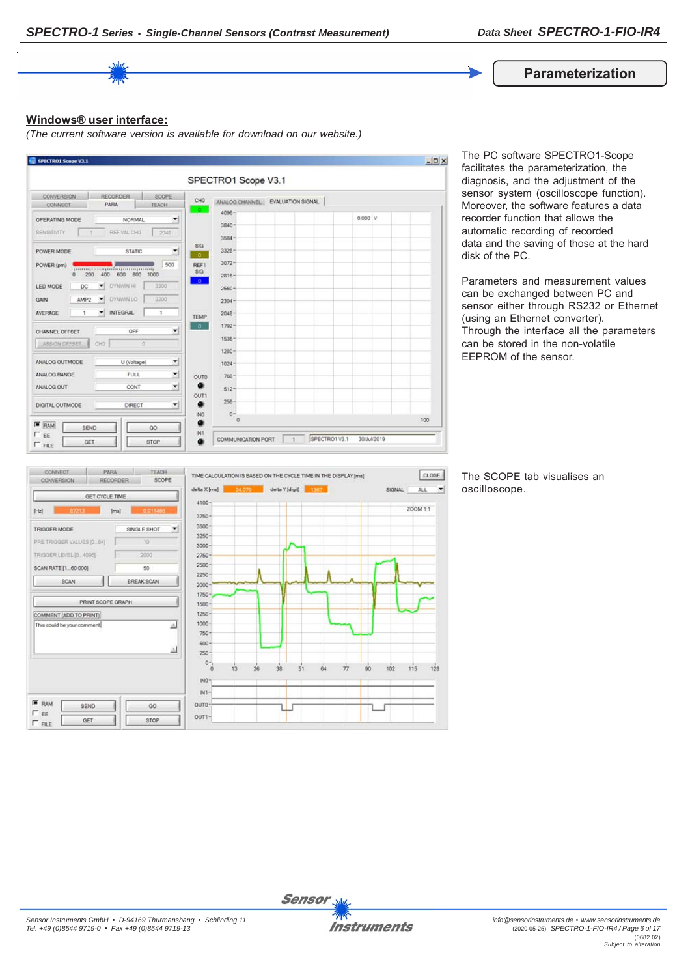

#### **Windows® user interface:**

*(The current software version is available for download on our website.)*



The PC software SPECTRO1-Scope facilitates the parameterization, the diagnosis, and the adjustment of the sensor system (oscilloscope function). Moreover, the software features a data recorder function that allows the automatic recording of recorded data and the saving of those at the hard disk of the PC.

Parameters and measurement values can be exchanged between PC and sensor either through RS232 or Ethernet (using an Ethernet converter). Through the interface all the parameters can be stored in the non-volatile EEPROM of the sensor.



The SCOPE tab visualises an oscilloscope.

 $\left| \cdot \right|$ 

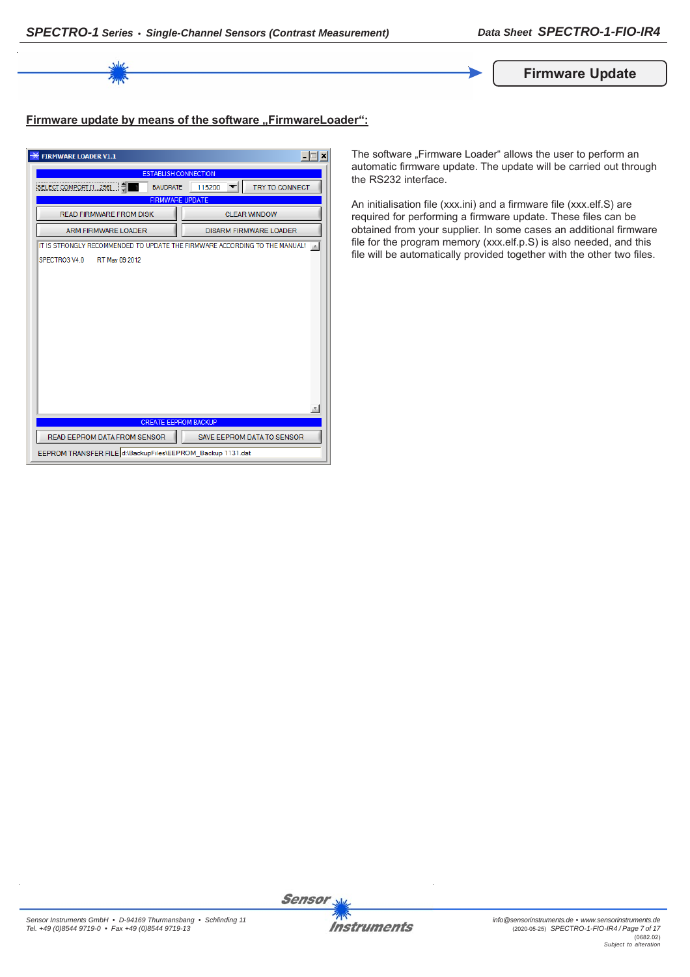

# Firmware update by means of the software "FirmwareLoader":

| <b>FIRMWARE LOADER V1.1</b>                                                | $ \Box$<br>×                      |
|----------------------------------------------------------------------------|-----------------------------------|
| <b>ESTABLISH CONNECTION</b>                                                |                                   |
| <b>BAUDRATE</b><br>SELECT COMPORT [1256]                                   | TRY TO CONNECT<br>115200          |
| <b>FIRMWARE UPDATE</b>                                                     |                                   |
| <b>READ FIRMWARE FROM DISK</b>                                             | <b>CLEAR WINDOW</b>               |
| <b>ARM FIRMWARE LOADER</b>                                                 | <b>DISARM FIRMWARE LOADER</b>     |
| IT IS STRONGLY RECOMMENDED TO UPDATE THE FIRMWARE ACCORDING TO THE MANUAL! |                                   |
| SPECTRO3 V4.0<br>RT May 09 2012                                            |                                   |
|                                                                            |                                   |
|                                                                            |                                   |
|                                                                            |                                   |
|                                                                            |                                   |
|                                                                            |                                   |
|                                                                            |                                   |
|                                                                            |                                   |
|                                                                            |                                   |
|                                                                            |                                   |
|                                                                            |                                   |
|                                                                            |                                   |
|                                                                            |                                   |
| <b>CREATE EEPROM BACKUP</b>                                                |                                   |
| READ EEPROM DATA FROM SENSOR                                               | <b>SAVE EEPROM DATA TO SENSOR</b> |
| EEPROM TRANSFER FILE d:\BackupFiles\EEPROM_Backup 1131.dat                 |                                   |

The software "Firmware Loader" allows the user to perform an automatic firmware update. The update will be carried out through the RS232 interface.

An initialisation file (xxx.ini) and a firmware file (xxx.elf.S) are required for performing a firmware update. These files can be obtained from your supplier. In some cases an additional firmware file for the program memory (xxx.elf.p.S) is also needed, and this file will be automatically provided together with the other two files.





**Sensor**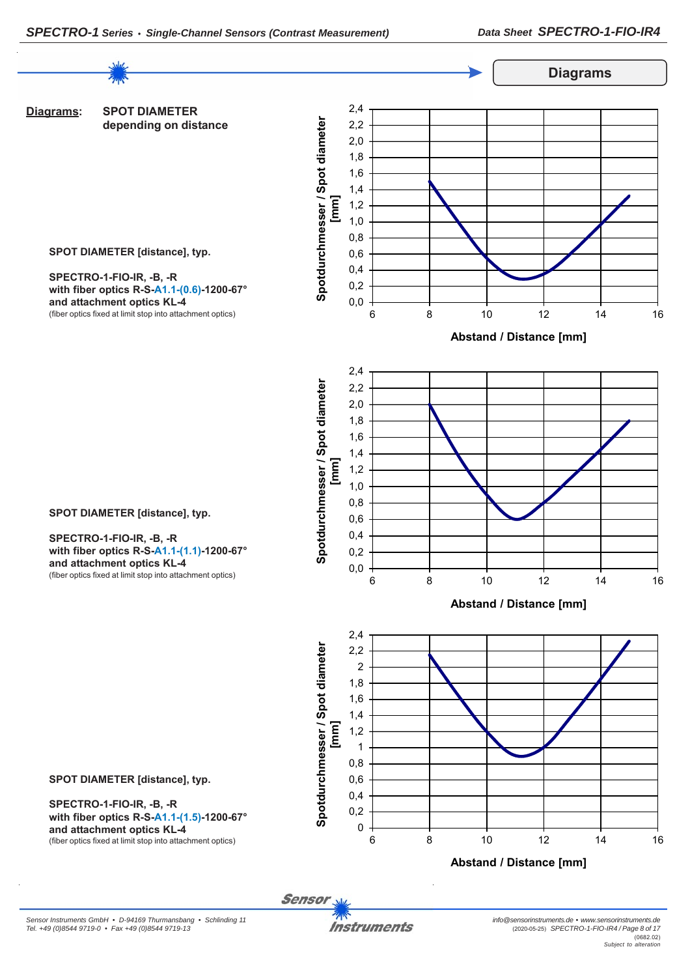

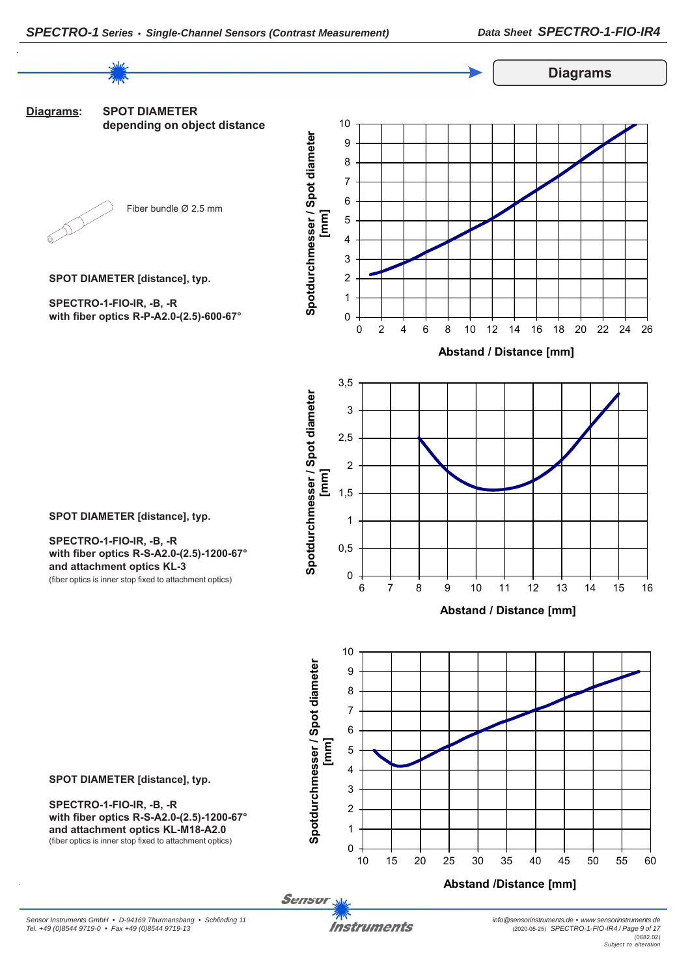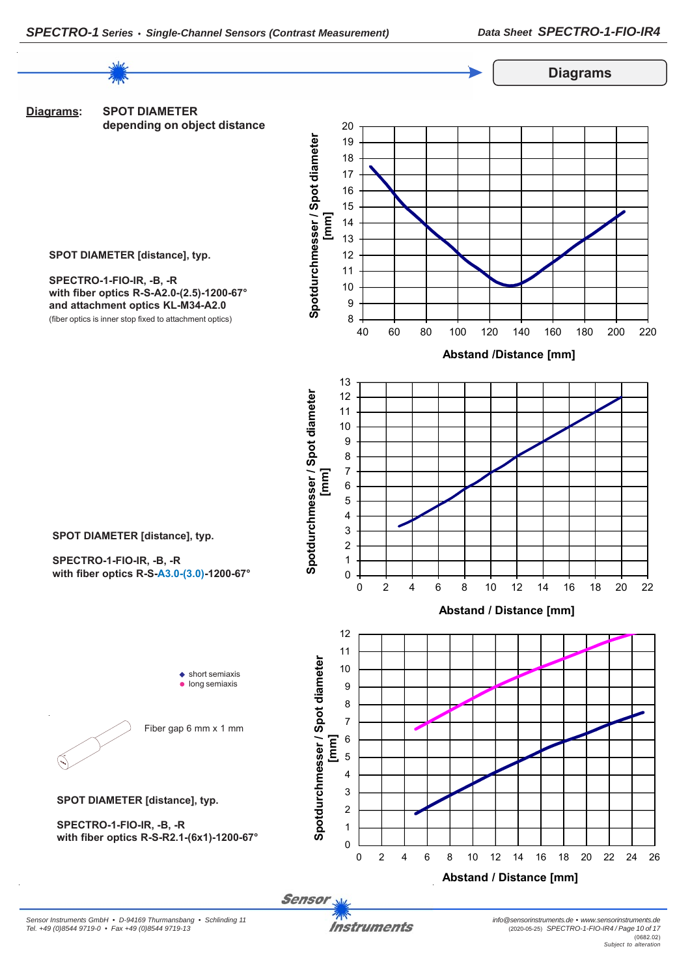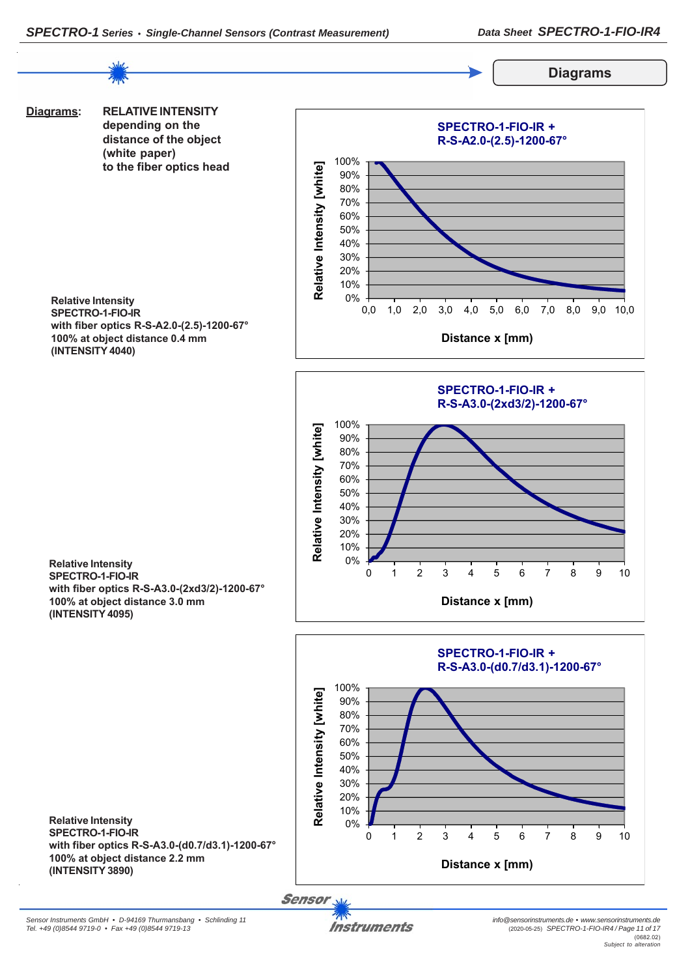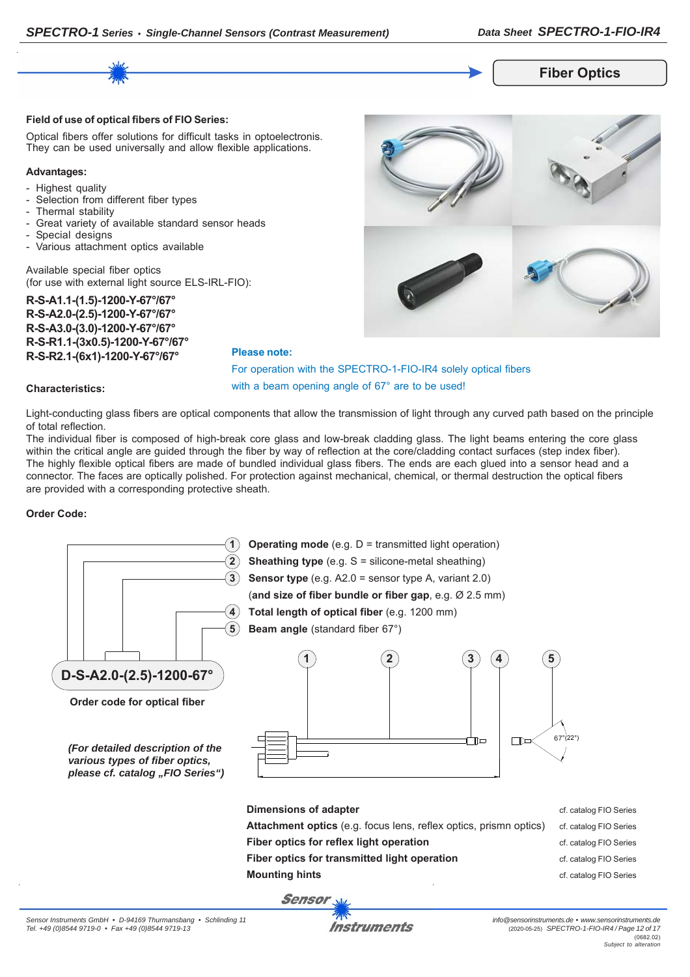

#### **Field of use of optical fibers of FIO Series:**

Optical fibers offer solutions for difficult tasks in optoelectronis. They can be used universally and allow flexible applications.

#### **Advantages:**

- Highest quality
- Selection from different fiber types
- Thermal stability
- Great variety of available standard sensor heads
- Special designs
- Various attachment optics available

Available special fiber optics (for use with external light source ELS-IRL-FIO):

**R-S-A1.1-(1.5)-1200-Y-67°/67° R-S-A2.0-(2.5)-1200-Y-67°/67° R-S-A3.0-(3.0)-1200-Y-67°/67° R-S-R1.1-(3x0.5)-1200-Y-67°/67° R-S-R2.1-(6x1)-1200-Y-67°/67°**



For operation with the SPECTRO-1-FIO-IR4 solely optical fibers with a beam opening angle of 67° are to be used!

#### **Characteristics:**

Light-conducting glass fibers are optical components that allow the transmission of light through any curved path based on the principle of total reflection.

**Please note:**

The individual fiber is composed of high-break core glass and low-break cladding glass. The light beams entering the core glass within the critical angle are guided through the fiber by way of reflection at the core/cladding contact surfaces (step index fiber). The highly flexible optical fibers are made of bundled individual glass fibers. The ends are each glued into a sensor head and a connector. The faces are optically polished. For protection against mechanical, chemical, or thermal destruction the optical fibers are provided with a corresponding protective sheath.

#### **Order Code:**

| $\overline{\mathbf{2}}$<br>5<br>D-S-A2.0-(2.5)-1200-67°<br>Order code for optical fiber<br>(For detailed description of the<br>various types of fiber optics,<br>please cf. catalog "FIO Series") | <b>Operating mode</b> (e.g. D = transmitted light operation)<br><b>Sheathing type</b> (e.g. $S =$ silicone-metal sheathing)<br><b>Sensor type</b> (e.g. $A2.0$ = sensor type A, variant 2.0)<br>(and size of fiber bundle or fiber gap, e.g. Ø 2.5 mm)<br>Total length of optical fiber (e.g. 1200 mm)<br><b>Beam angle</b> (standard fiber 67°)<br>5<br>3<br>4 | $67^\circ(22^\circ)$   |
|---------------------------------------------------------------------------------------------------------------------------------------------------------------------------------------------------|-----------------------------------------------------------------------------------------------------------------------------------------------------------------------------------------------------------------------------------------------------------------------------------------------------------------------------------------------------------------|------------------------|
|                                                                                                                                                                                                   | <b>Dimensions of adapter</b>                                                                                                                                                                                                                                                                                                                                    | cf. catalog FIO Series |
|                                                                                                                                                                                                   | Attachment optics (e.g. focus lens, reflex optics, prismn optics)                                                                                                                                                                                                                                                                                               | cf. catalog FIO Series |
|                                                                                                                                                                                                   | Fiber optics for reflex light operation                                                                                                                                                                                                                                                                                                                         | cf. catalog FIO Series |
|                                                                                                                                                                                                   | Fiber optics for transmitted light operation                                                                                                                                                                                                                                                                                                                    | cf. catalog FIO Series |
|                                                                                                                                                                                                   | <b>Mounting hints</b>                                                                                                                                                                                                                                                                                                                                           | cf. catalog FIO Series |
|                                                                                                                                                                                                   | <b>Sensor</b>                                                                                                                                                                                                                                                                                                                                                   |                        |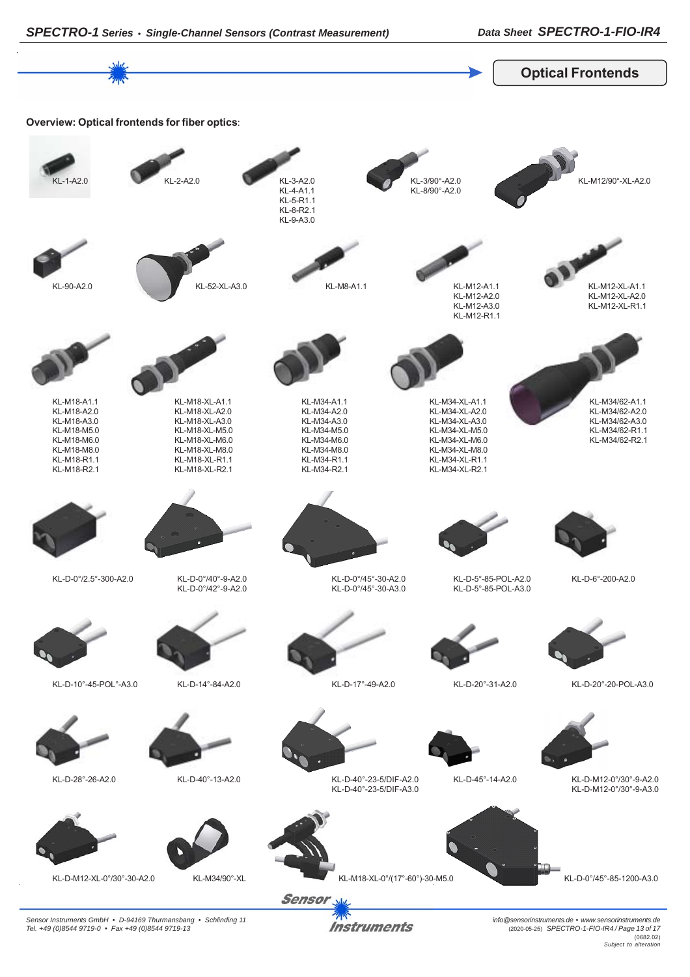

*Instruments* 

*Sensor Instruments GmbH • D-94169 Thurmansbang • Schlinding 11 Tel. +49 (0)8544 9719-0 • Fax +49 (0)8544 9719-13*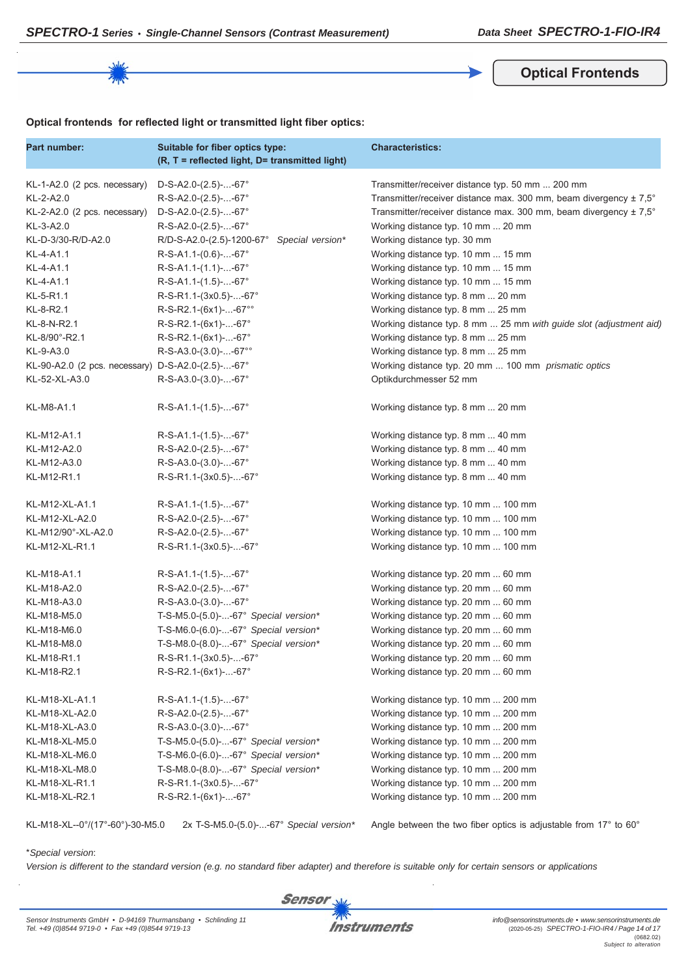**Optical Frontends**

#### **Optical frontends for reflected light or transmitted light fiber optics:**

| Part number:                                      | Suitable for fiber optics type:<br>(R, T = reflected light, D= transmitted light) | <b>Characteristics:</b>                                                      |
|---------------------------------------------------|-----------------------------------------------------------------------------------|------------------------------------------------------------------------------|
| KL-1-A2.0 (2 pcs. necessary)                      | $D-S-A2.0-(2.5)$ --67°                                                            | Transmitter/receiver distance typ. 50 mm  200 mm                             |
| KL-2-A2.0                                         | R-S-A2.0-(2.5)--67°                                                               | Transmitter/receiver distance max. 300 mm, beam divergency $\pm 7.5^{\circ}$ |
| KL-2-A2.0 (2 pcs. necessary)                      | $D-S-A2.0-(2.5)$ --67°                                                            | Transmitter/receiver distance max. 300 mm, beam divergency ± 7,5°            |
| KL-3-A2.0                                         | R-S-A2.0-(2.5)--67°                                                               | Working distance typ. 10 mm  20 mm                                           |
| KL-D-3/30-R/D-A2.0                                | R/D-S-A2.0-(2.5)-1200-67°<br>Special version*                                     | Working distance typ. 30 mm                                                  |
| KL-4-A1.1                                         | $R-S-A1.1-(0.6)$ --67°                                                            | Working distance typ. 10 mm  15 mm                                           |
| KL-4-A1.1                                         | $R-S-A1.1-(1.1)$ --67°                                                            | Working distance typ. 10 mm  15 mm                                           |
| KL-4-A1.1                                         | $R-S-A1.1-(1.5)$ --67°                                                            | Working distance typ. 10 mm  15 mm                                           |
| KL-5-R1.1                                         | R-S-R1.1-(3x0.5)--67°                                                             | Working distance typ. 8 mm  20 mm                                            |
| KL-8-R2.1                                         | R-S-R2.1-(6x1)--67°°                                                              | Working distance typ. 8 mm  25 mm                                            |
| KL-8-N-R2.1                                       | $R-S-R2.1-(6x1)$ --67°                                                            | Working distance typ. 8 mm  25 mm with guide slot (adjustment aid)           |
| KL-8/90°-R2.1                                     | R-S-R2.1-(6x1)--67°                                                               | Working distance typ. 8 mm  25 mm                                            |
| KL-9-A3.0                                         | $R-S-A3.0-(3.0)$ --67°°                                                           | Working distance typ. 8 mm  25 mm                                            |
| KL-90-A2.0 (2 pcs. necessary) D-S-A2.0-(2.5)--67° |                                                                                   | Working distance typ. 20 mm  100 mm prismatic optics                         |
| KL-52-XL-A3.0                                     | $R-S-A3.0-(3.0)$ --67°                                                            | Optikdurchmesser 52 mm                                                       |
| KL-M8-A1.1                                        | $R-S-A1.1-(1.5)--67°$                                                             | Working distance typ. 8 mm  20 mm                                            |
| KL-M12-A1.1                                       | $R-S-A1.1-(1.5)$ --67°                                                            | Working distance typ. 8 mm  40 mm                                            |
| KL-M12-A2.0                                       | R-S-A2.0-(2.5)--67°                                                               | Working distance typ. 8 mm  40 mm                                            |
| KL-M12-A3.0                                       | $R-S-A3.0-(3.0)$ --67°                                                            | Working distance typ. 8 mm  40 mm                                            |
| KL-M12-R1.1                                       | R-S-R1.1-(3x0.5)--67°                                                             | Working distance typ. 8 mm  40 mm                                            |
| KL-M12-XL-A1.1                                    | $R-S-A1.1-(1.5)$ --67°                                                            | Working distance typ. 10 mm  100 mm                                          |
| KL-M12-XL-A2.0                                    | R-S-A2.0-(2.5)--67°                                                               | Working distance typ. 10 mm  100 mm                                          |
| KL-M12/90°-XL-A2.0                                | R-S-A2.0-(2.5)--67°                                                               | Working distance typ. 10 mm  100 mm                                          |
| KL-M12-XL-R1.1                                    | R-S-R1.1-(3x0.5)--67°                                                             | Working distance typ. 10 mm  100 mm                                          |
| KL-M18-A1.1                                       | $R-S-A1.1-(1.5)$ --67°                                                            | Working distance typ. 20 mm  60 mm                                           |
| KL-M18-A2.0                                       | R-S-A2.0-(2.5)--67°                                                               | Working distance typ. 20 mm  60 mm                                           |
| KL-M18-A3.0                                       | R-S-A3.0-(3.0)--67°                                                               | Working distance typ. 20 mm  60 mm                                           |
| KL-M18-M5.0                                       | T-S-M5.0-(5.0)--67° Special version*                                              | Working distance typ. 20 mm  60 mm                                           |
| KL-M18-M6.0                                       | T-S-M6.0-(6.0)--67° Special version*                                              | Working distance typ. 20 mm  60 mm                                           |
| KL-M18-M8.0                                       | T-S-M8.0-(8.0)--67° Special version*                                              | Working distance typ. 20 mm  60 mm                                           |
| KL-M18-R1.1                                       | R-S-R1.1-(3x0.5)--67°                                                             | Working distance typ. 20 mm  60 mm                                           |
| KL-M18-R2.1                                       | R-S-R2.1-(6x1)--67°                                                               | Working distance typ. 20 mm  60 mm                                           |
| KL-M18-XL-A1.1                                    | $R-S-A1.1-(1.5)$ --67°                                                            | Working distance typ. 10 mm  200 mm                                          |
| KL-M18-XL-A2.0                                    | R-S-A2.0-(2.5)--67°                                                               | Working distance typ. 10 mm  200 mm                                          |
| KL-M18-XL-A3.0                                    | R-S-A3.0-(3.0)--67°                                                               | Working distance typ. 10 mm  200 mm                                          |
| KL-M18-XL-M5.0                                    | T-S-M5.0-(5.0)--67° Special version*                                              | Working distance typ. 10 mm  200 mm                                          |
| KL-M18-XL-M6.0                                    | T-S-M6.0-(6.0)--67° Special version*                                              | Working distance typ. 10 mm  200 mm                                          |
| KL-M18-XL-M8.0                                    | T-S-M8.0-(8.0)--67° Special version*                                              | Working distance typ. 10 mm  200 mm                                          |
| KL-M18-XL-R1.1                                    | R-S-R1.1-(3x0.5)--67°                                                             | Working distance typ. 10 mm  200 mm                                          |
| KL-M18-XL-R2.1                                    | R-S-R2.1-(6x1)--67°                                                               | Working distance typ. 10 mm  200 mm                                          |

KL-M18-XL--0°/(17°-60°)-30-M5.0 2x T-S-M5.0-(5.0)-...-67° *Special version\** Angle between the two fiber optics is adjustable from 17° to 60°

#### \**Special version*:

*Version is different to the standard version (e.g. no standard fiber adapter) and therefore is suitable only for certain sensors or applications*

**Sensor**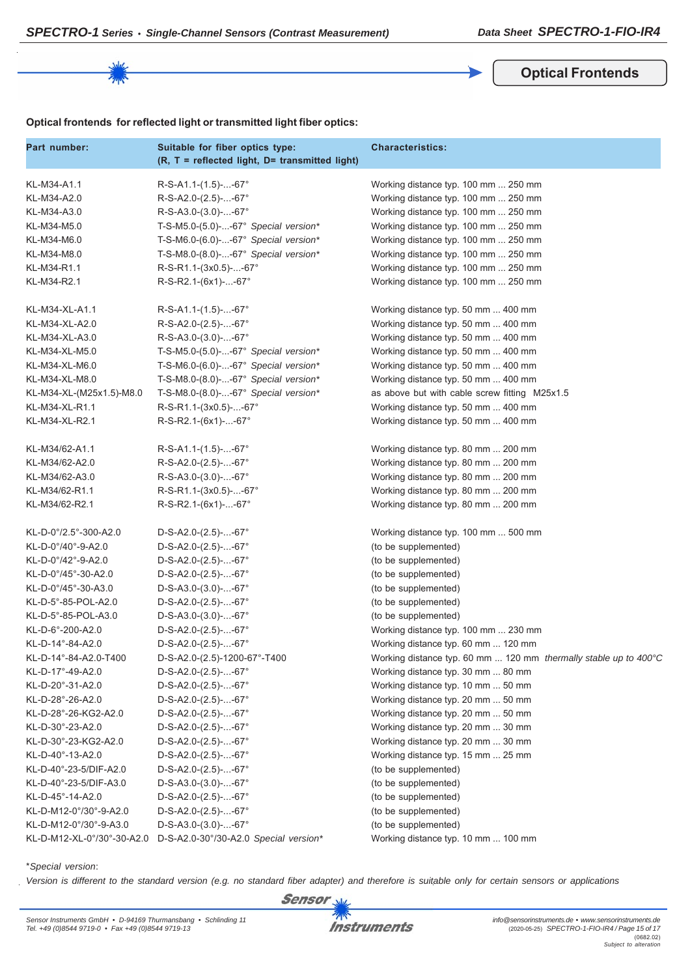**Optical Frontends**

## **Optical frontends for reflected light or transmitted light fiber optics:**

| Part number:               | Suitable for fiber optics type:<br>(R, T = reflected light, D= transmitted light) | <b>Characteristics:</b>                                          |
|----------------------------|-----------------------------------------------------------------------------------|------------------------------------------------------------------|
| KL-M34-A1.1                | $R-S-A1.1-(1.5)--67°$                                                             | Working distance typ. 100 mm  250 mm                             |
| KL-M34-A2.0                | R-S-A2.0-(2.5)--67°                                                               | Working distance typ. 100 mm  250 mm                             |
| KL-M34-A3.0                | $R-S-A3.0-(3.0)$ --67°                                                            | Working distance typ. 100 mm  250 mm                             |
| KL-M34-M5.0                | T-S-M5.0-(5.0)--67° Special version*                                              | Working distance typ. 100 mm  250 mm                             |
| KL-M34-M6.0                | T-S-M6.0-(6.0)--67° Special version*                                              | Working distance typ. 100 mm  250 mm                             |
| KL-M34-M8.0                | T-S-M8.0-(8.0)--67° Special version*                                              | Working distance typ. 100 mm  250 mm                             |
| KL-M34-R1.1                | R-S-R1.1-(3x0.5)--67°                                                             | Working distance typ. 100 mm  250 mm                             |
| KL-M34-R2.1                | R-S-R2.1-(6x1)--67°                                                               | Working distance typ. 100 mm  250 mm                             |
| KL-M34-XL-A1.1             | $R-S-A1.1-(1.5)$ --67°                                                            | Working distance typ. 50 mm  400 mm                              |
| KL-M34-XL-A2.0             | R-S-A2.0-(2.5)--67°                                                               | Working distance typ. 50 mm  400 mm                              |
| KL-M34-XL-A3.0             | $R-S-A3.0-(3.0)$ --67°                                                            | Working distance typ. 50 mm  400 mm                              |
| KL-M34-XL-M5.0             | T-S-M5.0-(5.0)--67° Special version*                                              | Working distance typ. 50 mm  400 mm                              |
| KL-M34-XL-M6.0             | T-S-M6.0-(6.0)--67° Special version*                                              | Working distance typ. 50 mm  400 mm                              |
| KL-M34-XL-M8.0             | T-S-M8.0-(8.0)--67° Special version*                                              | Working distance typ. 50 mm  400 mm                              |
| KL-M34-XL-(M25x1.5)-M8.0   | T-S-M8.0-(8.0)--67° Special version*                                              | as above but with cable screw fitting M25x1.5                    |
| KL-M34-XL-R1.1             | R-S-R1.1-(3x0.5)--67°                                                             | Working distance typ. 50 mm  400 mm                              |
| KL-M34-XL-R2.1             | R-S-R2.1-(6x1)--67°                                                               | Working distance typ. 50 mm  400 mm                              |
| KL-M34/62-A1.1             | R-S-A1.1-(1.5)--67°                                                               | Working distance typ. 80 mm  200 mm                              |
| KL-M34/62-A2.0             | R-S-A2.0-(2.5)--67°                                                               | Working distance typ. 80 mm  200 mm                              |
| KL-M34/62-A3.0             | $R-S-A3.0-(3.0)$ --67°                                                            | Working distance typ. 80 mm  200 mm                              |
| KL-M34/62-R1.1             | R-S-R1.1-(3x0.5)--67°                                                             | Working distance typ. 80 mm  200 mm                              |
| KL-M34/62-R2.1             | R-S-R2.1-(6x1)--67°                                                               | Working distance typ. 80 mm  200 mm                              |
| KL-D-0°/2.5°-300-A2.0      | $D-S-A2.0-(2.5)$ --67°                                                            | Working distance typ. 100 mm  500 mm                             |
| KL-D-0°/40°-9-A2.0         | $D-S-A2.0-(2.5)$ --67°                                                            | (to be supplemented)                                             |
| KL-D-0°/42°-9-A2.0         | $D-S-A2.0-(2.5)$ --67°                                                            | (to be supplemented)                                             |
| KL-D-0°/45°-30-A2.0        | $D-S-A2.0-(2.5)$ --67°                                                            | (to be supplemented)                                             |
| KL-D-0°/45°-30-A3.0        | $D-S-A3.0-(3.0)$ --67°                                                            | (to be supplemented)                                             |
| KL-D-5°-85-POL-A2.0        | $D-S-A2.0-(2.5)$ --67°                                                            | (to be supplemented)                                             |
| KL-D-5°-85-POL-A3.0        | $D-S-A3.0-(3.0)$ --67°                                                            | (to be supplemented)                                             |
| KL-D-6°-200-A2.0           | $D-S-A2.0-(2.5)$ --67°                                                            | Working distance typ. 100 mm  230 mm                             |
| KL-D-14°-84-A2.0           | $D-S-A2.0-(2.5)$ --67°                                                            | Working distance typ. 60 mm  120 mm                              |
| KL-D-14°-84-A2.0-T400      | D-S-A2.0-(2.5)-1200-67°-T400                                                      | Working distance typ. 60 mm  120 mm thermally stable up to 400°C |
| KL-D-17°-49-A2.0           | $D-S-A2.0-(2.5)$ --67°                                                            | Working distance typ. 30 mm  80 mm                               |
| KL-D-20°-31-A2.0           | $D-S-A2.0-(2.5)$ --67°                                                            | Working distance typ. 10 mm  50 mm                               |
| KL-D-28°-26-A2.0           | D-S-A2.0-(2.5)--67°                                                               | Working distance typ. 20 mm  50 mm                               |
| KL-D-28°-26-KG2-A2.0       | $D-S-A2.0-(2.5)$ --67°                                                            | Working distance typ. 20 mm  50 mm                               |
| KL-D-30°-23-A2.0           | $D-S-A2.0-(2.5)$ --67°                                                            | Working distance typ. 20 mm  30 mm                               |
| KL-D-30°-23-KG2-A2.0       | $D-S-A2.0-(2.5)$ --67°                                                            | Working distance typ. 20 mm  30 mm                               |
| KL-D-40°-13-A2.0           | $D-S-A2.0-(2.5)$ --67°                                                            | Working distance typ. 15 mm  25 mm                               |
| KL-D-40°-23-5/DIF-A2.0     | D-S-A2.0-(2.5)--67°                                                               | (to be supplemented)                                             |
| KL-D-40°-23-5/DIF-A3.0     | D-S-A3.0-(3.0)--67°                                                               | (to be supplemented)                                             |
| KL-D-45°-14-A2.0           | D-S-A2.0-(2.5)--67°                                                               | (to be supplemented)                                             |
| KL-D-M12-0°/30°-9-A2.0     | D-S-A2.0-(2.5)--67°                                                               | (to be supplemented)                                             |
| KL-D-M12-0°/30°-9-A3.0     | $D-S-A3.0-(3.0)$ --67°                                                            | (to be supplemented)                                             |
| KL-D-M12-XL-0°/30°-30-A2.0 | D-S-A2.0-30°/30-A2.0 Special version*                                             | Working distance typ. 10 mm  100 mm                              |

\**Special version*:

*Version is different to the standard version (e.g. no standard fiber adapter) and therefore is suitable only for certain sensors or applications*

**Sensor** 

**Instruments**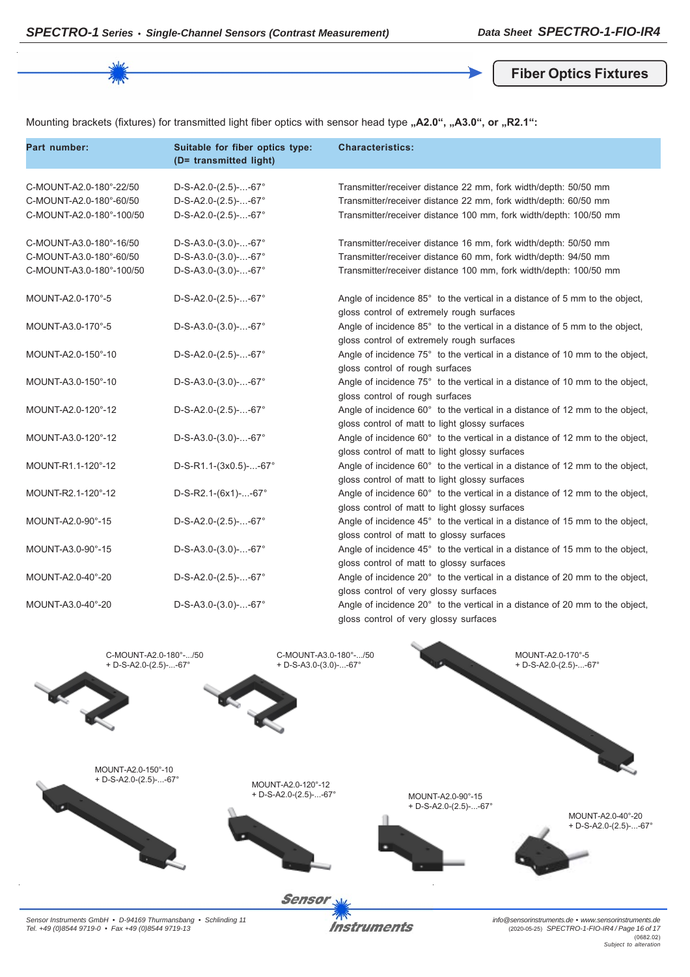**Fiber Optics Fixtures**

Mounting brackets (fixtures) for transmitted light fiber optics with sensor head type "A2.0", "A3.0", or "R2.1":

| Part number:                                                                   | Suitable for fiber optics type:<br>(D= transmitted light)                  | <b>Characteristics:</b>                                                                                                                                                                                 |
|--------------------------------------------------------------------------------|----------------------------------------------------------------------------|---------------------------------------------------------------------------------------------------------------------------------------------------------------------------------------------------------|
| C-MOUNT-A2.0-180°-22/50<br>C-MOUNT-A2.0-180°-60/50<br>C-MOUNT-A2.0-180°-100/50 | $D-S-A2.0-(2.5)$ --67°<br>$D-S-A2.0-(2.5)$ --67°<br>$D-S-A2.0-(2.5)$ --67° | Transmitter/receiver distance 22 mm, fork width/depth: 50/50 mm<br>Transmitter/receiver distance 22 mm, fork width/depth: 60/50 mm<br>Transmitter/receiver distance 100 mm, fork width/depth: 100/50 mm |
| C-MOUNT-A3.0-180°-16/50<br>C-MOUNT-A3.0-180°-60/50<br>C-MOUNT-A3.0-180°-100/50 | $D-S-A3.0-(3.0)$ --67°<br>$D-S-A3.0-(3.0)$ --67°<br>$D-S-A3.0-(3.0)$ --67° | Transmitter/receiver distance 16 mm, fork width/depth: 50/50 mm<br>Transmitter/receiver distance 60 mm, fork width/depth: 94/50 mm<br>Transmitter/receiver distance 100 mm, fork width/depth: 100/50 mm |
| MOUNT-A2.0-170°-5                                                              | $D-S-A2.0-(2.5)$ --67°                                                     | Angle of incidence 85° to the vertical in a distance of 5 mm to the object,<br>gloss control of extremely rough surfaces                                                                                |
| MOUNT-A3.0-170°-5                                                              | $D-S-A3.0-(3.0)$ --67°                                                     | Angle of incidence 85° to the vertical in a distance of 5 mm to the object,<br>gloss control of extremely rough surfaces                                                                                |
| MOUNT-A2.0-150°-10                                                             | $D-S-A2.0-(2.5)$ --67°                                                     | Angle of incidence 75° to the vertical in a distance of 10 mm to the object,<br>gloss control of rough surfaces                                                                                         |
| MOUNT-A3.0-150°-10                                                             | D-S-A3.0-(3.0)--67°                                                        | Angle of incidence 75° to the vertical in a distance of 10 mm to the object,<br>gloss control of rough surfaces                                                                                         |
| MOUNT-A2.0-120°-12                                                             | $D-S-A2.0-(2.5)$ --67°                                                     | Angle of incidence 60° to the vertical in a distance of 12 mm to the object,<br>gloss control of matt to light glossy surfaces                                                                          |
| MOUNT-A3.0-120°-12                                                             | $D-S-A3.0-(3.0)$ --67°                                                     | Angle of incidence 60° to the vertical in a distance of 12 mm to the object,<br>gloss control of matt to light glossy surfaces                                                                          |
| MOUNT-R1.1-120°-12                                                             | $D-S-R1.1-(3x0.5)$ --67°                                                   | Angle of incidence 60° to the vertical in a distance of 12 mm to the object,<br>gloss control of matt to light glossy surfaces                                                                          |
| MOUNT-R2.1-120°-12                                                             | $D-S-R2.1-(6x1)$ --67°                                                     | Angle of incidence 60° to the vertical in a distance of 12 mm to the object,<br>gloss control of matt to light glossy surfaces                                                                          |
| MOUNT-A2.0-90°-15                                                              | $D-S-A2.0-(2.5)$ --67°                                                     | Angle of incidence 45° to the vertical in a distance of 15 mm to the object,<br>gloss control of matt to glossy surfaces                                                                                |
| MOUNT-A3.0-90°-15                                                              | $D-S-A3.0-(3.0)$ --67°                                                     | Angle of incidence 45° to the vertical in a distance of 15 mm to the object,<br>gloss control of matt to glossy surfaces                                                                                |
| MOUNT-A2.0-40°-20                                                              | $D-S-A2.0-(2.5)$ --67°                                                     | Angle of incidence 20° to the vertical in a distance of 20 mm to the object,<br>gloss control of very glossy surfaces                                                                                   |
| MOUNT-A3.0-40°-20                                                              | $D-S-A3.0-(3.0)$ --67°                                                     | Angle of incidence 20° to the vertical in a distance of 20 mm to the object,<br>gloss control of very glossy surfaces                                                                                   |



*Sensor Instruments GmbH • D-94169 Thurmansbang • Schlinding 11 Tel. +49 (0)8544 9719-0 • Fax +49 (0)8544 9719-13*

**Instruments** 

*info@sensorinstruments.de • www.sensorinstruments.de* (2020-05-25) *SPECTRO-1-FIO-IR4 / Page 16 of 17* (0682.02) *Subject to alteration*